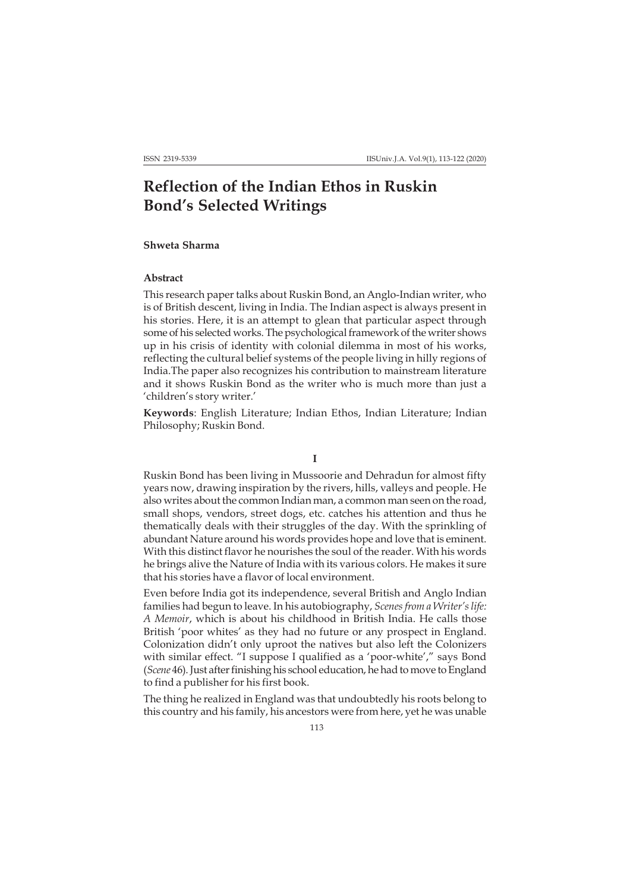# **Reflection of the Indian Ethos in Ruskin Bond's Selected Writings**

## **Shweta Sharma**

## **Abstract**

This research paper talks about Ruskin Bond, an Anglo-Indian writer, who is of British descent, living in India. The Indian aspect is always present in his stories. Here, it is an attempt to glean that particular aspect through some of his selected works. The psychological framework of the writer shows up in his crisis of identity with colonial dilemma in most of his works, reflecting the cultural belief systems of the people living in hilly regions of India.The paper also recognizes his contribution to mainstream literature and it shows Ruskin Bond as the writer who is much more than just a 'children's story writer.'

**Keywords**: English Literature; Indian Ethos, Indian Literature; Indian Philosophy; Ruskin Bond.

**I**

Ruskin Bond has been living in Mussoorie and Dehradun for almost fifty years now, drawing inspiration by the rivers, hills, valleys and people. He also writes about the common Indian man, a common man seen on the road, small shops, vendors, street dogs, etc. catches his attention and thus he thematically deals with their struggles of the day. With the sprinkling of abundant Nature around his words provides hope and love that is eminent. With this distinct flavor he nourishes the soul of the reader. With his words he brings alive the Nature of India with its various colors. He makes it sure that his stories have a flavor of local environment.

Even before India got its independence, several British and Anglo Indian families had begun to leave. In his autobiography, *Scenes from a Writer's life: A Memoir*, which is about his childhood in British India. He calls those British 'poor whites' as they had no future or any prospect in England. Colonization didn't only uproot the natives but also left the Colonizers with similar effect. "I suppose I qualified as a 'poor-white'," says Bond (*Scene* 46). Just after finishing his school education, he had to move to England to find a publisher for his first book.

The thing he realized in England was that undoubtedly his roots belong to this country and his family, his ancestors were from here, yet he was unable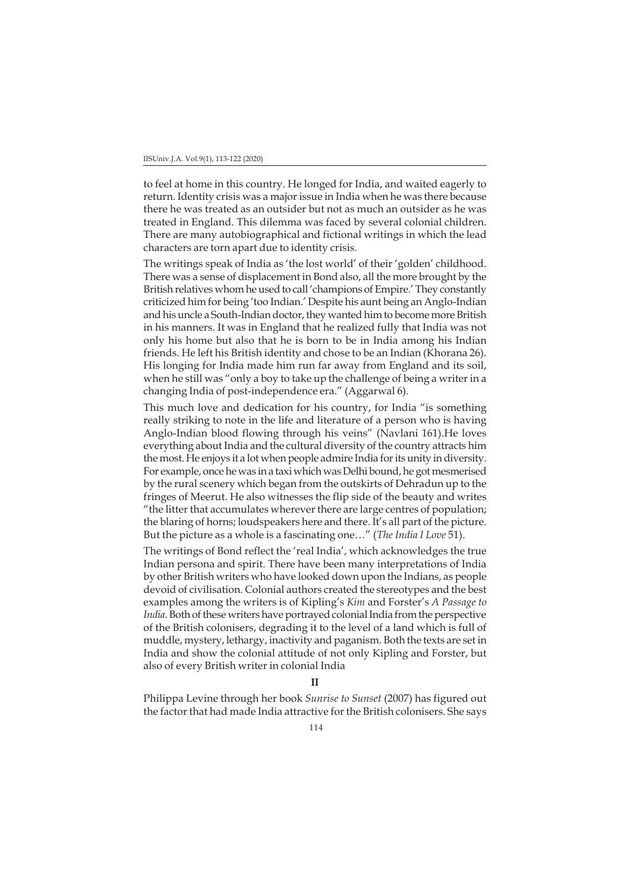to feel at home in this country. He longed for India, and waited eagerly to return. Identity crisis was a major issue in India when he was there because there he was treated as an outsider but not as much an outsider as he was treated in England. This dilemma was faced by several colonial children. There are many autobiographical and fictional writings in which the lead characters are torn apart due to identity crisis.

The writings speak of India as 'the lost world' of their 'golden' childhood. There was a sense of displacement in Bond also, all the more brought by the British relatives whom he used to call 'champions of Empire.' They constantly criticized him for being 'too Indian.' Despite his aunt being an Anglo-Indian and his uncle a South-Indian doctor, they wanted him to become more British in his manners. It was in England that he realized fully that India was not only his home but also that he is born to be in India among his Indian friends. He left his British identity and chose to be an Indian (Khorana 26). His longing for India made him run far away from England and its soil, when he still was "only a boy to take up the challenge of being a writer in a changing India of post-independence era." (Aggarwal 6).

This much love and dedication for his country, for India "is something really striking to note in the life and literature of a person who is having Anglo-Indian blood flowing through his veins" (Navlani 161).He loves everything about India and the cultural diversity of the country attracts him the most. He enjoys it a lot when people admire India for its unity in diversity. For example, once he was in a taxi which was Delhi bound, he got mesmerised by the rural scenery which began from the outskirts of Dehradun up to the fringes of Meerut. He also witnesses the flip side of the beauty and writes "the litter that accumulates wherever there are large centres of population; the blaring of horns; loudspeakers here and there. It's all part of the picture. But the picture as a whole is a fascinating one…" (*The India I Love* 51).

The writings of Bond reflect the 'real India', which acknowledges the true Indian persona and spirit. There have been many interpretations of India by other British writers who have looked down upon the Indians, as people devoid of civilisation. Colonial authors created the stereotypes and the best examples among the writers is of Kipling's *Kim* and Forster's *A Passage to India*. Both of these writers have portrayed colonial India from the perspective of the British colonisers, degrading it to the level of a land which is full of muddle, mystery, lethargy, inactivity and paganism. Both the texts are set in India and show the colonial attitude of not only Kipling and Forster, but also of every British writer in colonial India

**II**

Philippa Levine through her book *Sunrise to Sunset* (2007) has figured out the factor that had made India attractive for the British colonisers. She says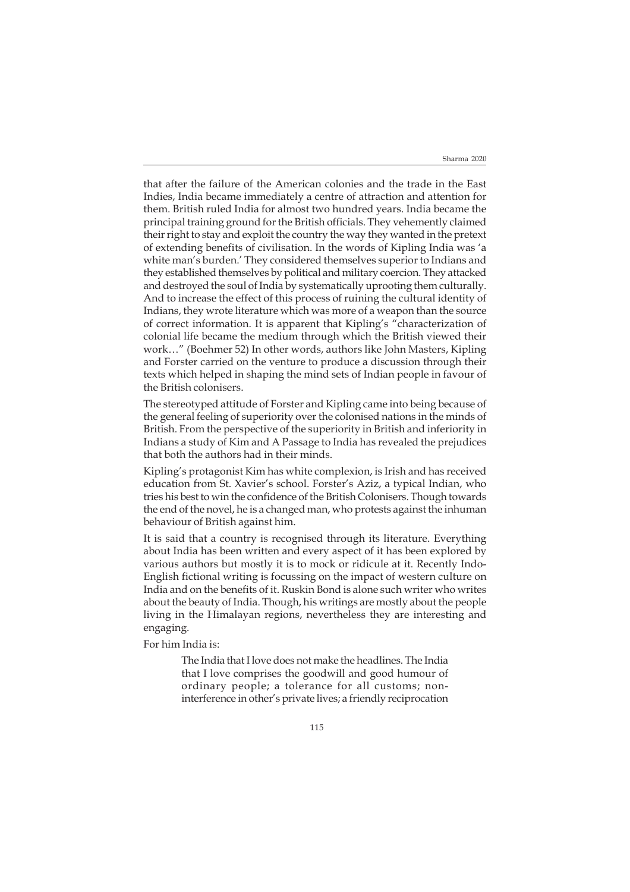that after the failure of the American colonies and the trade in the East Indies, India became immediately a centre of attraction and attention for them. British ruled India for almost two hundred years. India became the principal training ground for the British officials. They vehemently claimed their right to stay and exploit the country the way they wanted in the pretext of extending benefits of civilisation. In the words of Kipling India was 'a white man's burden.' They considered themselves superior to Indians and they established themselves by political and military coercion. They attacked and destroyed the soul of India by systematically uprooting them culturally. And to increase the effect of this process of ruining the cultural identity of Indians, they wrote literature which was more of a weapon than the source of correct information. It is apparent that Kipling's "characterization of colonial life became the medium through which the British viewed their work…" (Boehmer 52) In other words, authors like John Masters, Kipling and Forster carried on the venture to produce a discussion through their texts which helped in shaping the mind sets of Indian people in favour of the British colonisers.

The stereotyped attitude of Forster and Kipling came into being because of the general feeling of superiority over the colonised nations in the minds of British. From the perspective of the superiority in British and inferiority in Indians a study of Kim and A Passage to India has revealed the prejudices that both the authors had in their minds.

Kipling's protagonist Kim has white complexion, is Irish and has received education from St. Xavier's school. Forster's Aziz, a typical Indian, who tries his best to win the confidence of the British Colonisers. Though towards the end of the novel, he is a changed man, who protests against the inhuman behaviour of British against him.

It is said that a country is recognised through its literature. Everything about India has been written and every aspect of it has been explored by various authors but mostly it is to mock or ridicule at it. Recently Indo-English fictional writing is focussing on the impact of western culture on India and on the benefits of it. Ruskin Bond is alone such writer who writes about the beauty of India. Though, his writings are mostly about the people living in the Himalayan regions, nevertheless they are interesting and engaging.

For him India is:

The India that I love does not make the headlines. The India that I love comprises the goodwill and good humour of ordinary people; a tolerance for all customs; noninterference in other's private lives; a friendly reciprocation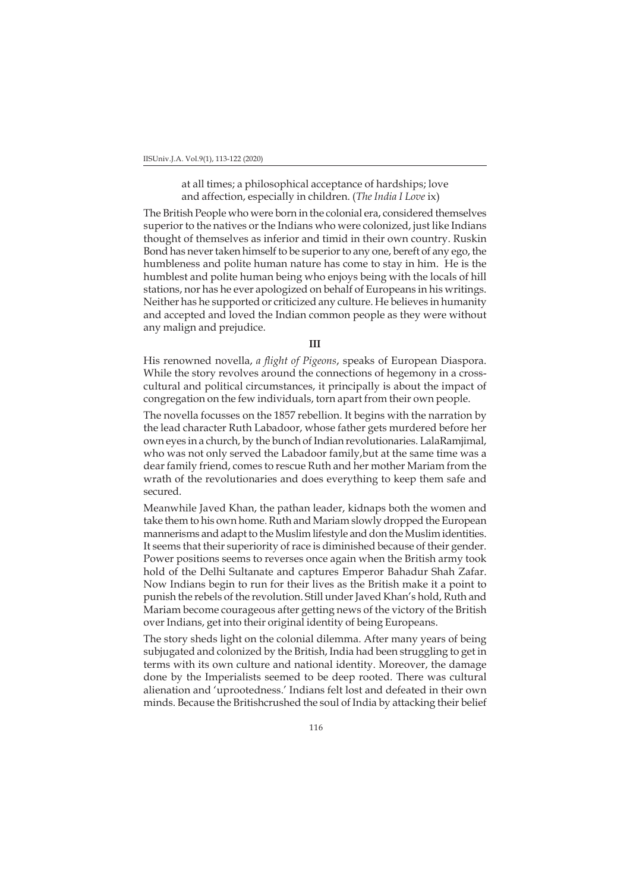IISUniv.J.A. Vol.9(1), 113-122 (2020)

at all times; a philosophical acceptance of hardships; love and affection, especially in children. (*The India I Love* ix)

The British People who were born in the colonial era, considered themselves superior to the natives or the Indians who were colonized, just like Indians thought of themselves as inferior and timid in their own country. Ruskin Bond has never taken himself to be superior to any one, bereft of any ego, the humbleness and polite human nature has come to stay in him. He is the humblest and polite human being who enjoys being with the locals of hill stations, nor has he ever apologized on behalf of Europeans in his writings. Neither has he supported or criticized any culture. He believes in humanity and accepted and loved the Indian common people as they were without any malign and prejudice.

**III**

His renowned novella, *a flight of Pigeons*, speaks of European Diaspora. While the story revolves around the connections of hegemony in a crosscultural and political circumstances, it principally is about the impact of congregation on the few individuals, torn apart from their own people.

The novella focusses on the 1857 rebellion. It begins with the narration by the lead character Ruth Labadoor, whose father gets murdered before her own eyes in a church, by the bunch of Indian revolutionaries. LalaRamjimal, who was not only served the Labadoor family,but at the same time was a dear family friend, comes to rescue Ruth and her mother Mariam from the wrath of the revolutionaries and does everything to keep them safe and secured.

Meanwhile Javed Khan, the pathan leader, kidnaps both the women and take them to his own home. Ruth and Mariam slowly dropped the European mannerisms and adapt to the Muslim lifestyle and don the Muslim identities. It seems that their superiority of race is diminished because of their gender. Power positions seems to reverses once again when the British army took hold of the Delhi Sultanate and captures Emperor Bahadur Shah Zafar. Now Indians begin to run for their lives as the British make it a point to punish the rebels of the revolution. Still under Javed Khan's hold, Ruth and Mariam become courageous after getting news of the victory of the British over Indians, get into their original identity of being Europeans.

The story sheds light on the colonial dilemma. After many years of being subjugated and colonized by the British, India had been struggling to get in terms with its own culture and national identity. Moreover, the damage done by the Imperialists seemed to be deep rooted. There was cultural alienation and 'uprootedness.' Indians felt lost and defeated in their own minds. Because the Britishcrushed the soul of India by attacking their belief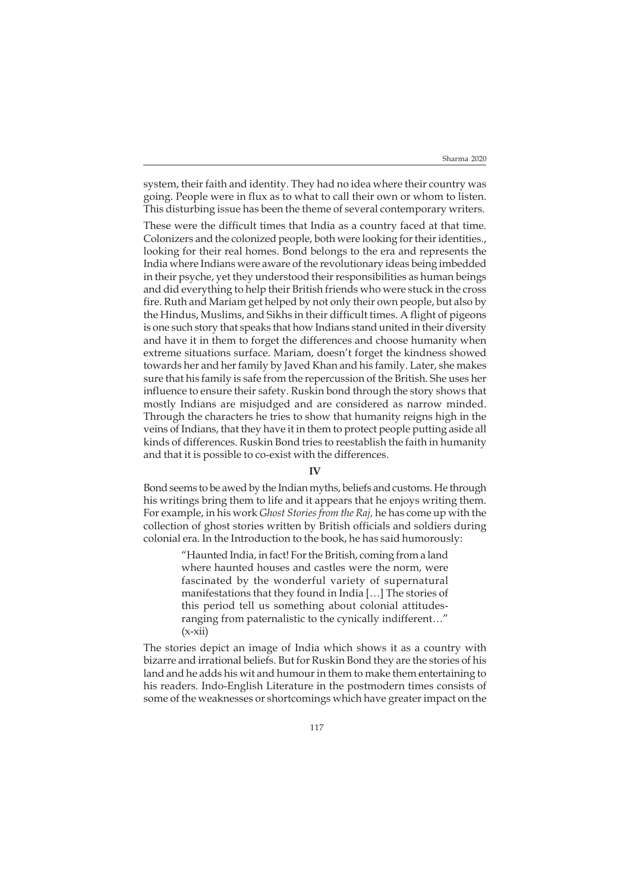system, their faith and identity. They had no idea where their country was going. People were in flux as to what to call their own or whom to listen. This disturbing issue has been the theme of several contemporary writers.

These were the difficult times that India as a country faced at that time. Colonizers and the colonized people, both were looking for their identities., looking for their real homes. Bond belongs to the era and represents the India where Indians were aware of the revolutionary ideas being imbedded in their psyche, yet they understood their responsibilities as human beings and did everything to help their British friends who were stuck in the cross fire. Ruth and Mariam get helped by not only their own people, but also by the Hindus, Muslims, and Sikhs in their difficult times. A flight of pigeons is one such story that speaks that how Indians stand united in their diversity and have it in them to forget the differences and choose humanity when extreme situations surface. Mariam, doesn't forget the kindness showed towards her and her family by Javed Khan and his family. Later, she makes sure that his family is safe from the repercussion of the British. She uses her influence to ensure their safety. Ruskin bond through the story shows that mostly Indians are misjudged and are considered as narrow minded. Through the characters he tries to show that humanity reigns high in the veins of Indians, that they have it in them to protect people putting aside all kinds of differences. Ruskin Bond tries to reestablish the faith in humanity and that it is possible to co-exist with the differences.

### **IV**

Bond seems to be awed by the Indian myths, beliefs and customs. He through his writings bring them to life and it appears that he enjoys writing them. For example, in his work *Ghost Stories from the Raj,* he has come up with the collection of ghost stories written by British officials and soldiers during colonial era. In the Introduction to the book, he has said humorously:

> "Haunted India, in fact! For the British, coming from a land where haunted houses and castles were the norm, were fascinated by the wonderful variety of supernatural manifestations that they found in India […] The stories of this period tell us something about colonial attitudesranging from paternalistic to the cynically indifferent…"  $(x-xii)$

The stories depict an image of India which shows it as a country with bizarre and irrational beliefs. But for Ruskin Bond they are the stories of his land and he adds his wit and humour in them to make them entertaining to his readers. Indo-English Literature in the postmodern times consists of some of the weaknesses or shortcomings which have greater impact on the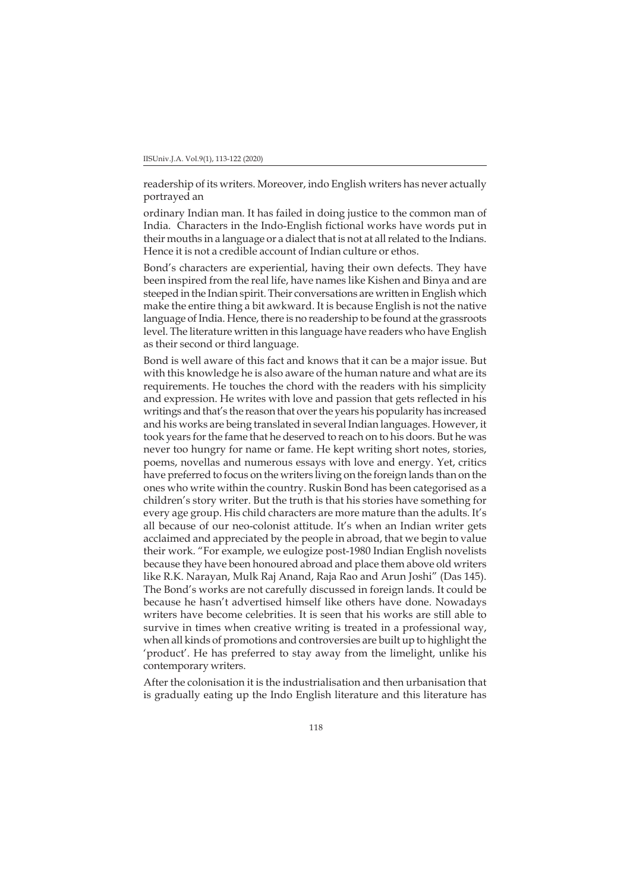readership of its writers. Moreover, indo English writers has never actually portrayed an

ordinary Indian man. It has failed in doing justice to the common man of India. Characters in the Indo-English fictional works have words put in their mouths in a language or a dialect that is not at all related to the Indians. Hence it is not a credible account of Indian culture or ethos.

Bond's characters are experiential, having their own defects. They have been inspired from the real life, have names like Kishen and Binya and are steeped in the Indian spirit. Their conversations are written in English which make the entire thing a bit awkward. It is because English is not the native language of India. Hence, there is no readership to be found at the grassroots level. The literature written in this language have readers who have English as their second or third language.

Bond is well aware of this fact and knows that it can be a major issue. But with this knowledge he is also aware of the human nature and what are its requirements. He touches the chord with the readers with his simplicity and expression. He writes with love and passion that gets reflected in his writings and that's the reason that over the years his popularity has increased and his works are being translated in several Indian languages. However, it took years for the fame that he deserved to reach on to his doors. But he was never too hungry for name or fame. He kept writing short notes, stories, poems, novellas and numerous essays with love and energy. Yet, critics have preferred to focus on the writers living on the foreign lands than on the ones who write within the country. Ruskin Bond has been categorised as a children's story writer. But the truth is that his stories have something for every age group. His child characters are more mature than the adults. It's all because of our neo-colonist attitude. It's when an Indian writer gets acclaimed and appreciated by the people in abroad, that we begin to value their work. "For example, we eulogize post-1980 Indian English novelists because they have been honoured abroad and place them above old writers like R.K. Narayan, Mulk Raj Anand, Raja Rao and Arun Joshi" (Das 145). The Bond's works are not carefully discussed in foreign lands. It could be because he hasn't advertised himself like others have done. Nowadays writers have become celebrities. It is seen that his works are still able to survive in times when creative writing is treated in a professional way, when all kinds of promotions and controversies are built up to highlight the 'product'. He has preferred to stay away from the limelight, unlike his contemporary writers.

After the colonisation it is the industrialisation and then urbanisation that is gradually eating up the Indo English literature and this literature has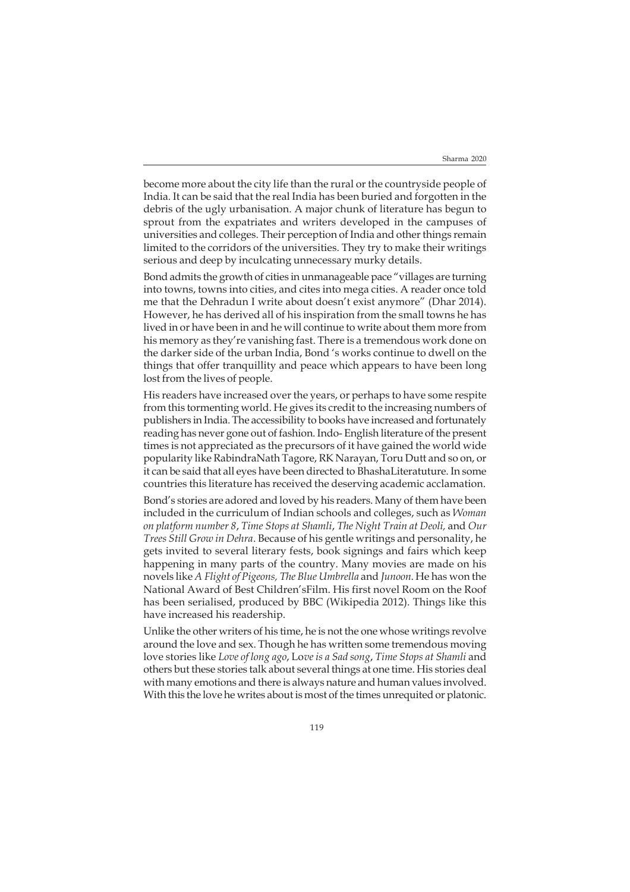become more about the city life than the rural or the countryside people of India. It can be said that the real India has been buried and forgotten in the debris of the ugly urbanisation. A major chunk of literature has begun to sprout from the expatriates and writers developed in the campuses of universities and colleges. Their perception of India and other things remain limited to the corridors of the universities. They try to make their writings serious and deep by inculcating unnecessary murky details.

Bond admits the growth of cities in unmanageable pace "villages are turning into towns, towns into cities, and cites into mega cities. A reader once told me that the Dehradun I write about doesn't exist anymore" (Dhar 2014). However, he has derived all of his inspiration from the small towns he has lived in or have been in and he will continue to write about them more from his memory as they're vanishing fast. There is a tremendous work done on the darker side of the urban India, Bond 's works continue to dwell on the things that offer tranquillity and peace which appears to have been long lost from the lives of people.

His readers have increased over the years, or perhaps to have some respite from this tormenting world. He gives its credit to the increasing numbers of publishers in India. The accessibility to books have increased and fortunately reading has never gone out of fashion. Indo- English literature of the present times is not appreciated as the precursors of it have gained the world wide popularity like RabindraNath Tagore, RK Narayan, Toru Dutt and so on, or it can be said that all eyes have been directed to BhashaLiteratuture. In some countries this literature has received the deserving academic acclamation.

Bond's stories are adored and loved by his readers. Many of them have been included in the curriculum of Indian schools and colleges, such as *Woman on platform number 8*, *Time Stops at Shamli*, *The Night Train at Deoli,* and *Our Trees Still Grow in Dehra*. Because of his gentle writings and personality, he gets invited to several literary fests, book signings and fairs which keep happening in many parts of the country. Many movies are made on his novels like *A Flight of Pigeons, The Blue Umbrella* and *Junoon*. He has won the National Award of Best Children'sFilm. His first novel Room on the Roof has been serialised, produced by BBC (Wikipedia 2012). Things like this have increased his readership.

Unlike the other writers of his time, he is not the one whose writings revolve around the love and sex. Though he has written some tremendous moving love stories like *Love of long ago*, Lo*ve is a Sad song*, *Time Stops at Shamli* and others but these stories talk about several things at one time. His stories deal with many emotions and there is always nature and human values involved. With this the love he writes about is most of the times unrequited or platonic.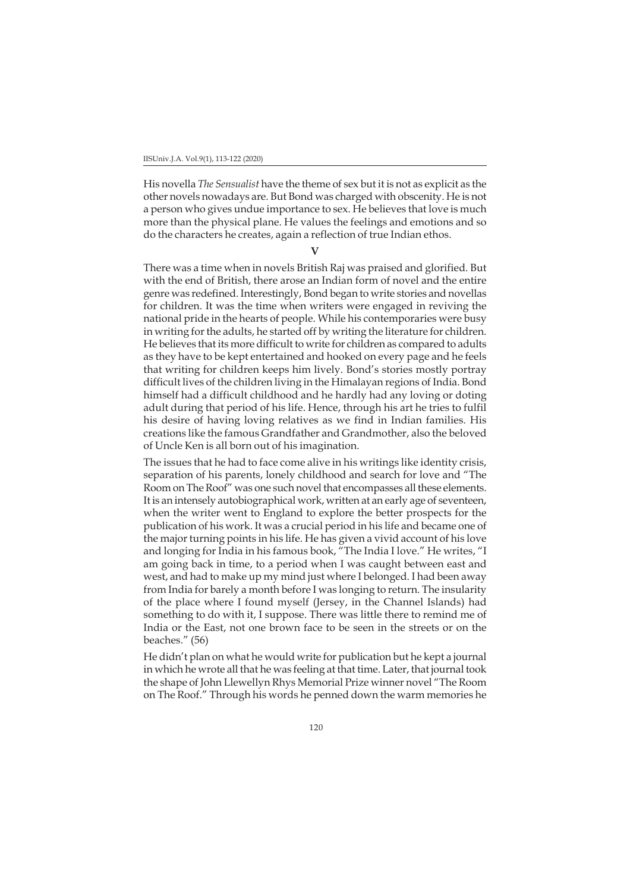His novella *The Sensualist* have the theme of sex but it is not as explicit as the other novels nowadays are. But Bond was charged with obscenity. He is not a person who gives undue importance to sex. He believes that love is much more than the physical plane. He values the feelings and emotions and so do the characters he creates, again a reflection of true Indian ethos.

**V**

There was a time when in novels British Raj was praised and glorified. But with the end of British, there arose an Indian form of novel and the entire genre was redefined. Interestingly, Bond began to write stories and novellas for children. It was the time when writers were engaged in reviving the national pride in the hearts of people. While his contemporaries were busy in writing for the adults, he started off by writing the literature for children. He believes that its more difficult to write for children as compared to adults as they have to be kept entertained and hooked on every page and he feels that writing for children keeps him lively. Bond's stories mostly portray difficult lives of the children living in the Himalayan regions of India. Bond himself had a difficult childhood and he hardly had any loving or doting adult during that period of his life. Hence, through his art he tries to fulfil his desire of having loving relatives as we find in Indian families. His creations like the famous Grandfather and Grandmother, also the beloved of Uncle Ken is all born out of his imagination.

The issues that he had to face come alive in his writings like identity crisis, separation of his parents, lonely childhood and search for love and "The Room on The Roof" was one such novel that encompasses all these elements. It is an intensely autobiographical work, written at an early age of seventeen, when the writer went to England to explore the better prospects for the publication of his work. It was a crucial period in his life and became one of the major turning points in his life. He has given a vivid account of his love and longing for India in his famous book, "The India I love." He writes, "I am going back in time, to a period when I was caught between east and west, and had to make up my mind just where I belonged. I had been away from India for barely a month before I was longing to return. The insularity of the place where I found myself (Jersey, in the Channel Islands) had something to do with it, I suppose. There was little there to remind me of India or the East, not one brown face to be seen in the streets or on the beaches." (56)

He didn't plan on what he would write for publication but he kept a journal in which he wrote all that he was feeling at that time. Later, that journal took the shape of John Llewellyn Rhys Memorial Prize winner novel "The Room on The Roof." Through his words he penned down the warm memories he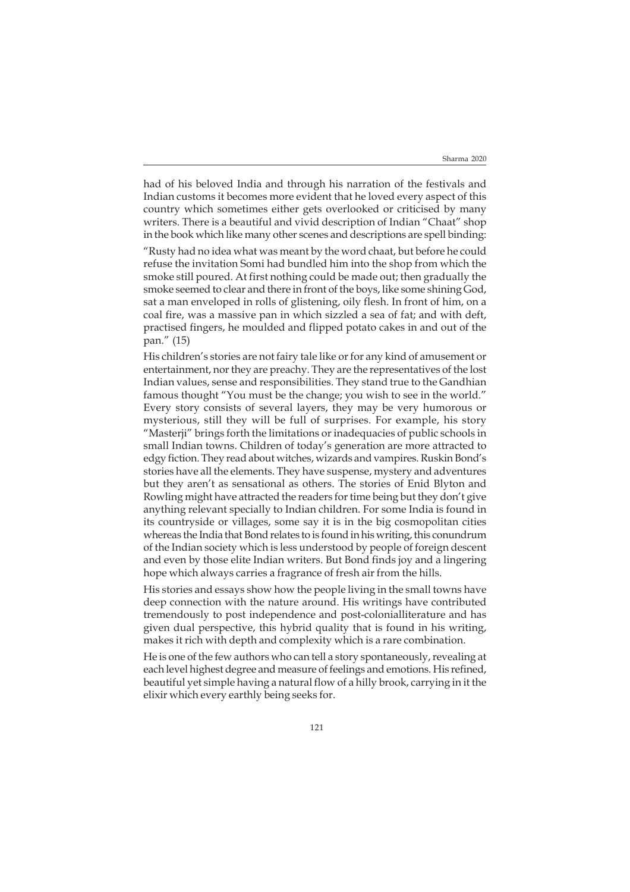had of his beloved India and through his narration of the festivals and Indian customs it becomes more evident that he loved every aspect of this country which sometimes either gets overlooked or criticised by many writers. There is a beautiful and vivid description of Indian "Chaat" shop in the book which like many other scenes and descriptions are spell binding:

"Rusty had no idea what was meant by the word chaat, but before he could refuse the invitation Somi had bundled him into the shop from which the smoke still poured. At first nothing could be made out; then gradually the smoke seemed to clear and there in front of the boys, like some shining God, sat a man enveloped in rolls of glistening, oily flesh. In front of him, on a coal fire, was a massive pan in which sizzled a sea of fat; and with deft, practised fingers, he moulded and flipped potato cakes in and out of the pan." (15)

His children's stories are not fairy tale like or for any kind of amusement or entertainment, nor they are preachy. They are the representatives of the lost Indian values, sense and responsibilities. They stand true to the Gandhian famous thought "You must be the change; you wish to see in the world." Every story consists of several layers, they may be very humorous or mysterious, still they will be full of surprises. For example, his story "Masterji" brings forth the limitations or inadequacies of public schools in small Indian towns. Children of today's generation are more attracted to edgy fiction. They read about witches, wizards and vampires. Ruskin Bond's stories have all the elements. They have suspense, mystery and adventures but they aren't as sensational as others. The stories of Enid Blyton and Rowling might have attracted the readers for time being but they don't give anything relevant specially to Indian children. For some India is found in its countryside or villages, some say it is in the big cosmopolitan cities whereas the India that Bond relates to is found in his writing, this conundrum of the Indian society which is less understood by people of foreign descent and even by those elite Indian writers. But Bond finds joy and a lingering hope which always carries a fragrance of fresh air from the hills.

His stories and essays show how the people living in the small towns have deep connection with the nature around. His writings have contributed tremendously to post independence and post-colonialliterature and has given dual perspective, this hybrid quality that is found in his writing, makes it rich with depth and complexity which is a rare combination.

He is one of the few authors who can tell a story spontaneously, revealing at each level highest degree and measure of feelings and emotions. His refined, beautiful yet simple having a natural flow of a hilly brook, carrying in it the elixir which every earthly being seeks for.